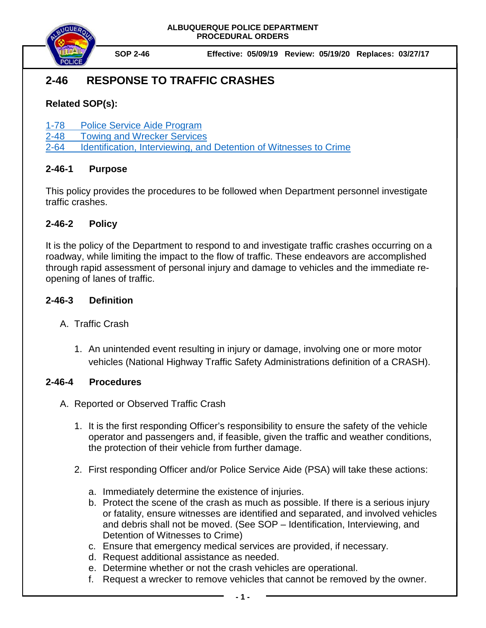



**SOP 2-46 Effective: 05/09/19 Review: 05/19/20 Replaces: 03/27/17**

# **2-46 RESPONSE TO TRAFFIC CRASHES**

## **Related SOP(s):**

- [1-78 Police Service Aide Program](file://coa.cabq.lcl/dfsroot/APD/SHARE/PD-QA%20Audit/APD%20SOPs/Draft%20SOPs/Policies%20to%20Publish/1-78%20Police%20Service%20Aide_Pending%20Chief)
- [2-48 Towing and Wrecker Services](https://powerdms.com/link/IDS/document/?id=131)

[2-64 Identification, Interviewing, and Detention of Witnesses to Crime](https://powerdms.com/link/IDS/document/?id=138)

### **2-46-1 Purpose**

This policy provides the procedures to be followed when Department personnel investigate traffic crashes.

### **2-46-2 Policy**

It is the policy of the Department to respond to and investigate traffic crashes occurring on a roadway, while limiting the impact to the flow of traffic. These endeavors are accomplished through rapid assessment of personal injury and damage to vehicles and the immediate reopening of lanes of traffic.

### **2-46-3 Definition**

- A. Traffic Crash
	- 1. An unintended event resulting in injury or damage, involving one or more motor vehicles (National Highway Traffic Safety Administrations definition of a CRASH).

#### **2-46-4 Procedures**

- A. Reported or Observed Traffic Crash
	- 1. It is the first responding Officer's responsibility to ensure the safety of the vehicle operator and passengers and, if feasible, given the traffic and weather conditions, the protection of their vehicle from further damage.
	- 2. First responding Officer and/or Police Service Aide (PSA) will take these actions:
		- a. Immediately determine the existence of injuries.
		- b. Protect the scene of the crash as much as possible. If there is a serious injury or fatality, ensure witnesses are identified and separated, and involved vehicles and debris shall not be moved. (See SOP – Identification, Interviewing, and Detention of Witnesses to Crime)
		- c. Ensure that emergency medical services are provided, if necessary.
		- d. Request additional assistance as needed.
		- e. Determine whether or not the crash vehicles are operational.
		- f. Request a wrecker to remove vehicles that cannot be removed by the owner.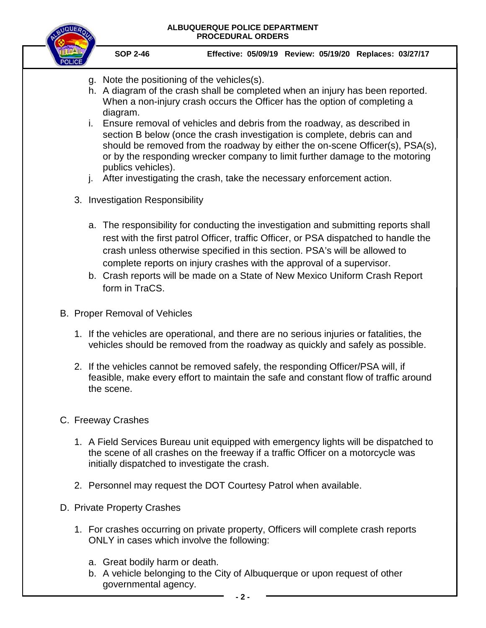

- g. Note the positioning of the vehicles(s).
- h. A diagram of the crash shall be completed when an injury has been reported. When a non-injury crash occurs the Officer has the option of completing a diagram.
- i. Ensure removal of vehicles and debris from the roadway, as described in section B below (once the crash investigation is complete, debris can and should be removed from the roadway by either the on-scene Officer(s), PSA(s), or by the responding wrecker company to limit further damage to the motoring publics vehicles).
- j. After investigating the crash, take the necessary enforcement action.
- 3. Investigation Responsibility
	- a. The responsibility for conducting the investigation and submitting reports shall rest with the first patrol Officer, traffic Officer, or PSA dispatched to handle the crash unless otherwise specified in this section. PSA's will be allowed to complete reports on injury crashes with the approval of a supervisor.
	- b. Crash reports will be made on a State of New Mexico Uniform Crash Report form in TraCS.
- B. Proper Removal of Vehicles
	- 1. If the vehicles are operational, and there are no serious injuries or fatalities, the vehicles should be removed from the roadway as quickly and safely as possible.
	- 2. If the vehicles cannot be removed safely, the responding Officer/PSA will, if feasible, make every effort to maintain the safe and constant flow of traffic around the scene.
- C. Freeway Crashes
	- 1. A Field Services Bureau unit equipped with emergency lights will be dispatched to the scene of all crashes on the freeway if a traffic Officer on a motorcycle was initially dispatched to investigate the crash.
	- 2. Personnel may request the DOT Courtesy Patrol when available.
- D. Private Property Crashes
	- 1. For crashes occurring on private property, Officers will complete crash reports ONLY in cases which involve the following:
		- a. Great bodily harm or death.
		- b. A vehicle belonging to the City of Albuquerque or upon request of other governmental agency.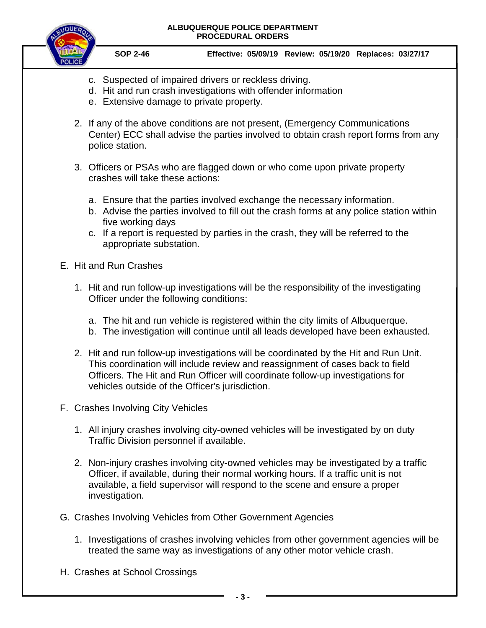#### **ALBUQUERQUE POLICE DEPARTMENT PROCEDURAL ORDERS**



**SOP 2-46 Effective: 05/09/19 Review: 05/19/20 Replaces: 03/27/17**

- c. Suspected of impaired drivers or reckless driving.
- d. Hit and run crash investigations with offender information
- e. Extensive damage to private property.
- 2. If any of the above conditions are not present, (Emergency Communications Center) ECC shall advise the parties involved to obtain crash report forms from any police station.
- 3. Officers or PSAs who are flagged down or who come upon private property crashes will take these actions:
	- a. Ensure that the parties involved exchange the necessary information.
	- b. Advise the parties involved to fill out the crash forms at any police station within five working days
	- c. If a report is requested by parties in the crash, they will be referred to the appropriate substation.

#### E. Hit and Run Crashes

- 1. Hit and run follow-up investigations will be the responsibility of the investigating Officer under the following conditions:
	- a. The hit and run vehicle is registered within the city limits of Albuquerque.
	- b. The investigation will continue until all leads developed have been exhausted.
- 2. Hit and run follow-up investigations will be coordinated by the Hit and Run Unit. This coordination will include review and reassignment of cases back to field Officers. The Hit and Run Officer will coordinate follow-up investigations for vehicles outside of the Officer's jurisdiction.
- F. Crashes Involving City Vehicles
	- 1. All injury crashes involving city-owned vehicles will be investigated by on duty Traffic Division personnel if available.
	- 2. Non-injury crashes involving city-owned vehicles may be investigated by a traffic Officer, if available, during their normal working hours. If a traffic unit is not available, a field supervisor will respond to the scene and ensure a proper investigation.
- G. Crashes Involving Vehicles from Other Government Agencies
	- 1. Investigations of crashes involving vehicles from other government agencies will be treated the same way as investigations of any other motor vehicle crash.
- H. Crashes at School Crossings